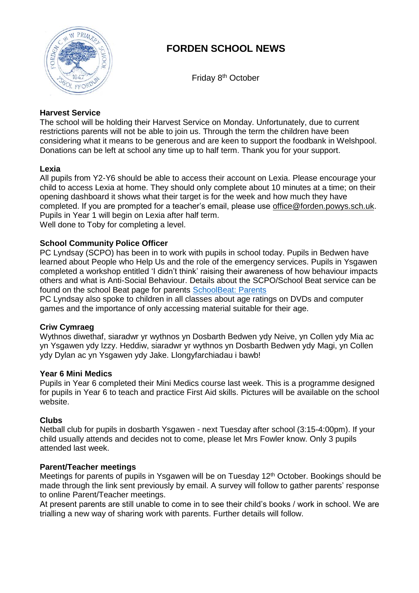

# **FORDEN SCHOOL NEWS**

Friday 8 th October

# **Harvest Service**

The school will be holding their Harvest Service on Monday. Unfortunately, due to current restrictions parents will not be able to join us. Through the term the children have been considering what it means to be generous and are keen to support the foodbank in Welshpool. Donations can be left at school any time up to half term. Thank you for your support.

## **Lexia**

All pupils from Y2-Y6 should be able to access their account on Lexia. Please encourage your child to access Lexia at home. They should only complete about 10 minutes at a time; on their opening dashboard it shows what their target is for the week and how much they have completed. If you are prompted for a teacher's email, please use [office@forden.powys.sch.uk.](mailto:office@forden.powys.sch.uk) Pupils in Year 1 will begin on Lexia after half term.

Well done to Toby for completing a level.

## **School Community Police Officer**

PC Lyndsay (SCPO) has been in to work with pupils in school today. Pupils in Bedwen have learned about People who Help Us and the role of the emergency services. Pupils in Ysgawen completed a workshop entitled 'I didn't think' raising their awareness of how behaviour impacts others and what is Anti-Social Behaviour. Details about the SCPO/School Beat service can be found on the school Beat page for parents [SchoolBeat: Parents](https://schoolbeat.cymru/en/parents/)

PC Lyndsay also spoke to children in all classes about age ratings on DVDs and computer games and the importance of only accessing material suitable for their age.

#### **Criw Cymraeg**

Wythnos diwethaf, siaradwr yr wythnos yn Dosbarth Bedwen ydy Neive, yn Collen ydy Mia ac yn Ysgawen ydy Izzy. Heddiw, siaradwr yr wythnos yn Dosbarth Bedwen ydy Magi, yn Collen ydy Dylan ac yn Ysgawen ydy Jake. Llongyfarchiadau i bawb!

#### **Year 6 Mini Medics**

Pupils in Year 6 completed their Mini Medics course last week. This is a programme designed for pupils in Year 6 to teach and practice First Aid skills. Pictures will be available on the school website.

#### **Clubs**

Netball club for pupils in dosbarth Ysgawen - next Tuesday after school (3:15-4:00pm). If your child usually attends and decides not to come, please let Mrs Fowler know. Only 3 pupils attended last week.

#### **Parent/Teacher meetings**

Meetings for parents of pupils in Ysgawen will be on Tuesday 12<sup>th</sup> October. Bookings should be made through the link sent previously by email. A survey will follow to gather parents' response to online Parent/Teacher meetings.

At present parents are still unable to come in to see their child's books / work in school. We are trialling a new way of sharing work with parents. Further details will follow.